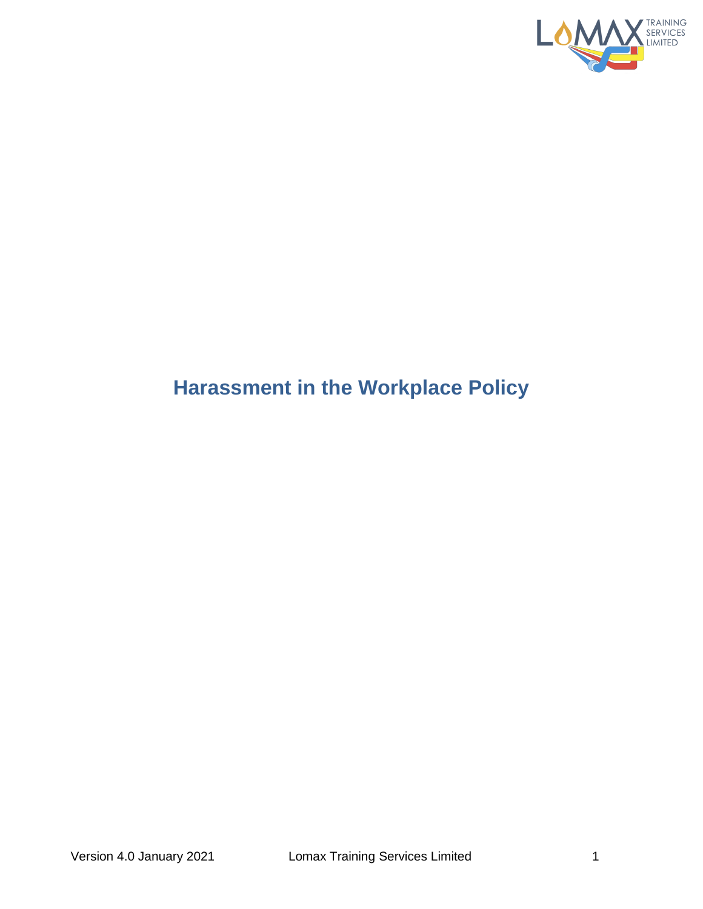

# **Harassment in the Workplace Policy**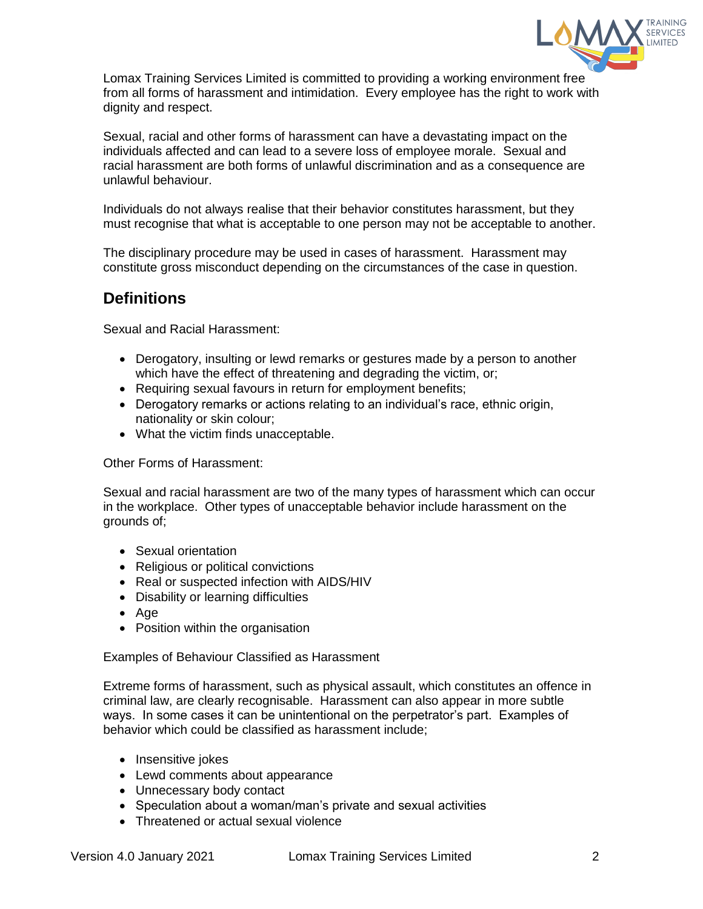

Lomax Training Services Limited is committed to providing a working environment free from all forms of harassment and intimidation. Every employee has the right to work with dignity and respect.

Sexual, racial and other forms of harassment can have a devastating impact on the individuals affected and can lead to a severe loss of employee morale. Sexual and racial harassment are both forms of unlawful discrimination and as a consequence are unlawful behaviour.

Individuals do not always realise that their behavior constitutes harassment, but they must recognise that what is acceptable to one person may not be acceptable to another.

The disciplinary procedure may be used in cases of harassment. Harassment may constitute gross misconduct depending on the circumstances of the case in question.

## **Definitions**

Sexual and Racial Harassment:

- Derogatory, insulting or lewd remarks or gestures made by a person to another which have the effect of threatening and degrading the victim, or;
- Requiring sexual favours in return for employment benefits;
- Derogatory remarks or actions relating to an individual's race, ethnic origin, nationality or skin colour;
- What the victim finds unacceptable.

### Other Forms of Harassment:

Sexual and racial harassment are two of the many types of harassment which can occur in the workplace. Other types of unacceptable behavior include harassment on the grounds of;

- Sexual orientation
- Religious or political convictions
- Real or suspected infection with AIDS/HIV
- Disability or learning difficulties
- Age
- Position within the organisation

Examples of Behaviour Classified as Harassment

Extreme forms of harassment, such as physical assault, which constitutes an offence in criminal law, are clearly recognisable. Harassment can also appear in more subtle ways. In some cases it can be unintentional on the perpetrator's part. Examples of behavior which could be classified as harassment include;

- Insensitive jokes
- Lewd comments about appearance
- Unnecessary body contact
- Speculation about a woman/man's private and sexual activities
- Threatened or actual sexual violence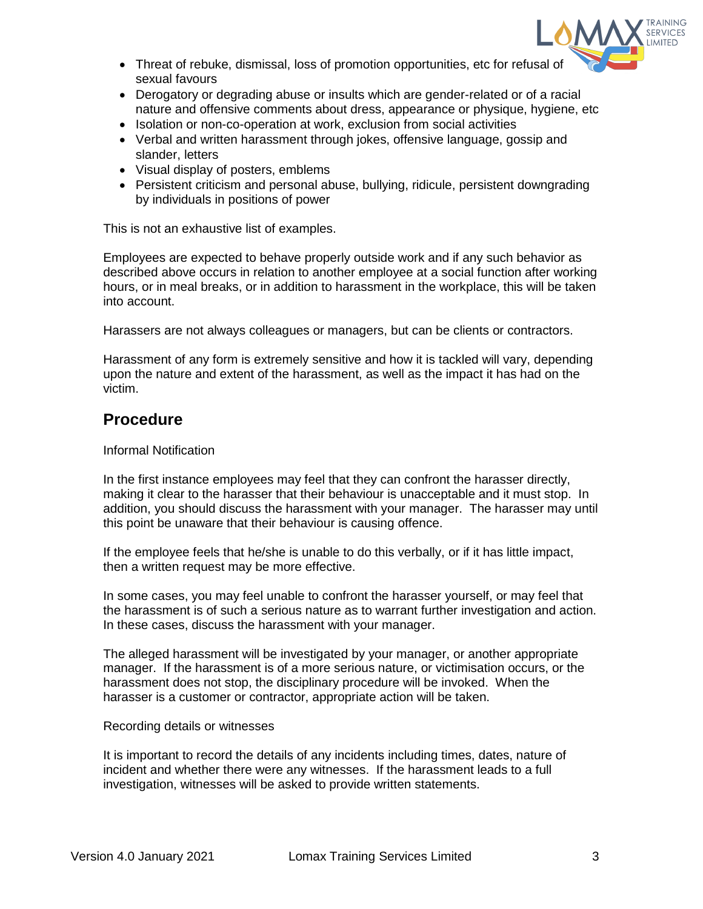

- Threat of rebuke, dismissal, loss of promotion opportunities, etc for refusal of sexual favours
- Derogatory or degrading abuse or insults which are gender-related or of a racial nature and offensive comments about dress, appearance or physique, hygiene, etc
- Isolation or non-co-operation at work, exclusion from social activities
- Verbal and written harassment through jokes, offensive language, gossip and slander, letters
- Visual display of posters, emblems
- Persistent criticism and personal abuse, bullying, ridicule, persistent downgrading by individuals in positions of power

This is not an exhaustive list of examples.

Employees are expected to behave properly outside work and if any such behavior as described above occurs in relation to another employee at a social function after working hours, or in meal breaks, or in addition to harassment in the workplace, this will be taken into account.

Harassers are not always colleagues or managers, but can be clients or contractors.

Harassment of any form is extremely sensitive and how it is tackled will vary, depending upon the nature and extent of the harassment, as well as the impact it has had on the victim.

## **Procedure**

## Informal Notification

In the first instance employees may feel that they can confront the harasser directly, making it clear to the harasser that their behaviour is unacceptable and it must stop. In addition, you should discuss the harassment with your manager. The harasser may until this point be unaware that their behaviour is causing offence.

If the employee feels that he/she is unable to do this verbally, or if it has little impact, then a written request may be more effective.

In some cases, you may feel unable to confront the harasser yourself, or may feel that the harassment is of such a serious nature as to warrant further investigation and action. In these cases, discuss the harassment with your manager.

The alleged harassment will be investigated by your manager, or another appropriate manager. If the harassment is of a more serious nature, or victimisation occurs, or the harassment does not stop, the disciplinary procedure will be invoked. When the harasser is a customer or contractor, appropriate action will be taken.

### Recording details or witnesses

It is important to record the details of any incidents including times, dates, nature of incident and whether there were any witnesses. If the harassment leads to a full investigation, witnesses will be asked to provide written statements.